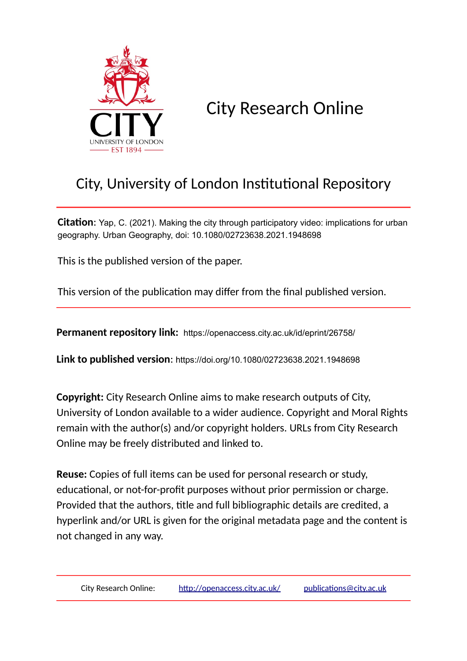

City Research Online

# City, University of London Institutional Repository

**Citation:** Yap, C. (2021). Making the city through participatory video: implications for urban geography. Urban Geography, doi: 10.1080/02723638.2021.1948698

This is the published version of the paper.

This version of the publication may differ from the final published version.

**Permanent repository link:** https://openaccess.city.ac.uk/id/eprint/26758/

**Link to published version**: https://doi.org/10.1080/02723638.2021.1948698

**Copyright:** City Research Online aims to make research outputs of City, University of London available to a wider audience. Copyright and Moral Rights remain with the author(s) and/or copyright holders. URLs from City Research Online may be freely distributed and linked to.

**Reuse:** Copies of full items can be used for personal research or study, educational, or not-for-profit purposes without prior permission or charge. Provided that the authors, title and full bibliographic details are credited, a hyperlink and/or URL is given for the original metadata page and the content is not changed in any way.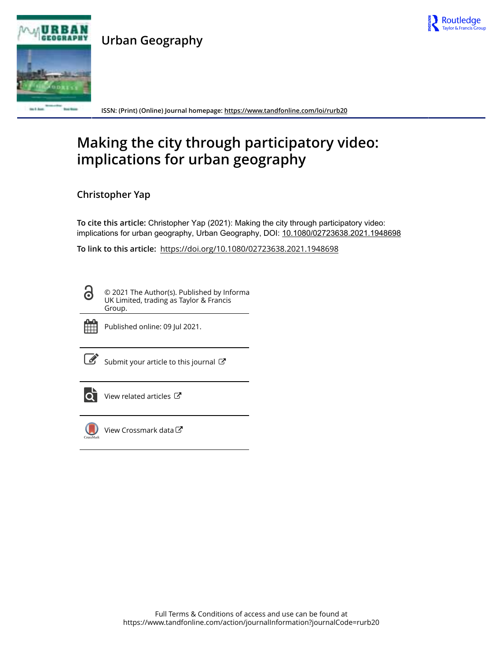

**Urban Geography**



**ISSN: (Print) (Online) Journal homepage:<https://www.tandfonline.com/loi/rurb20>**

# **Making the city through participatory video: implications for urban geography**

**Christopher Yap**

**To cite this article:** Christopher Yap (2021): Making the city through participatory video: implications for urban geography, Urban Geography, DOI: [10.1080/02723638.2021.1948698](https://www.tandfonline.com/action/showCitFormats?doi=10.1080/02723638.2021.1948698)

**To link to this article:** <https://doi.org/10.1080/02723638.2021.1948698>

<u>ල්</u>

© 2021 The Author(s). Published by Informa UK Limited, trading as Taylor & Francis Group.



Published online: 09 Jul 2021.

 $\overrightarrow{S}$  [Submit your article to this journal](https://www.tandfonline.com/action/authorSubmission?journalCode=rurb20&show=instructions)  $\overrightarrow{S}$ 



 $\overrightarrow{Q}$  [View related articles](https://www.tandfonline.com/doi/mlt/10.1080/02723638.2021.1948698)  $\overrightarrow{C}$ 



[View Crossmark data](http://crossmark.crossref.org/dialog/?doi=10.1080/02723638.2021.1948698&domain=pdf&date_stamp=2021-07-09)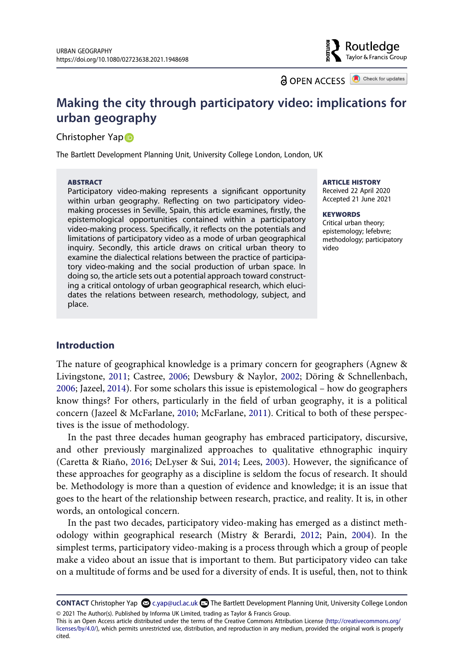**a** OPEN ACCESS **a** Check for updates

Routledae Taylor & Francis Group

# **Making the city through participatory video: implications for urban geography**

#### Christo[p](http://orcid.org/0000-0002-8629-2360)her Yap<sup>D</sup>

The Bartlett Development Planning Unit, University College London, London, UK

#### **ABSTRACT**

Participatory video-making represents a significant opportunity within urban geography. Reflecting on two participatory videomaking processes in Seville, Spain, this article examines, firstly, the epistemological opportunities contained within a participatory video-making process. Specifically, it reflects on the potentials and limitations of participatory video as a mode of urban geographical inquiry. Secondly, this article draws on critical urban theory to examine the dialectical relations between the practice of participatory video-making and the social production of urban space. In doing so, the article sets out a potential approach toward constructing a critical ontology of urban geographical research, which elucidates the relations between research, methodology, subject, and place.

#### **ARTICLE HISTORY**

Received 22 April 2020 Accepted 21 June 2021

#### **KEYWORDS**

Critical urban theory; epistemology; lefebvre; methodology; participatory video

#### **Introduction**

<span id="page-2-2"></span><span id="page-2-0"></span>The nature of geographical knowledge is a primary concern for geographers (Agnew & Livingstone, [2011;](#page-20-0) Castree, [2006;](#page-20-1) Dewsbury & Naylor, [2002;](#page-21-0) Döring & Schnellenbach, [2006](#page-21-1); Jazeel, [2014](#page-21-2)). For some scholars this issue is epistemological – how do geographers know things? For others, particularly in the field of urban geography, it is a political concern (Jazeel & McFarlane, [2010;](#page-21-3) McFarlane, [2011\)](#page-22-0). Critical to both of these perspectives is the issue of methodology.

<span id="page-2-3"></span><span id="page-2-1"></span>In the past three decades human geography has embraced participatory, discursive, and other previously marginalized approaches to qualitative ethnographic inquiry (Caretta & Riaño, [2016](#page-20-2); DeLyser & Sui, [2014;](#page-21-4) Lees, [2003\)](#page-21-5). However, the significance of these approaches for geography as a discipline is seldom the focus of research. It should be. Methodology is more than a question of evidence and knowledge; it is an issue that goes to the heart of the relationship between research, practice, and reality. It is, in other words, an ontological concern.

<span id="page-2-4"></span>In the past two decades, participatory video-making has emerged as a distinct methodology within geographical research (Mistry & Berardi, [2012;](#page-22-1) Pain, [2004](#page-22-2)). In the simplest terms, participatory video-making is a process through which a group of people make a video about an issue that is important to them. But participatory video can take on a multitude of forms and be used for a diversity of ends. It is useful, then, not to think

**CONTACT** Christopher Yap  $\Omega$  c.yap@ucl.ac.uk **D** The Bartlett Development Planning Unit, University College London © 2021 The Author(s). Published by Informa UK Limited, trading as Taylor & Francis Group.

This is an Open Access article distributed under the terms of the Creative Commons Attribution License (http://creativecommons.org/ licenses/by/4.0/), which permits unrestricted use, distribution, and reproduction in any medium, provided the original work is properly cited.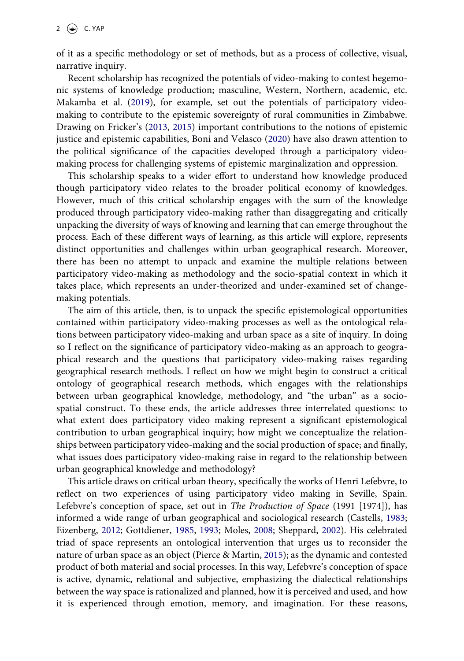of it as a specific methodology or set of methods, but as a process of collective, visual, narrative inquiry.

<span id="page-3-3"></span>Recent scholarship has recognized the potentials of video-making to contest hegemonic systems of knowledge production; masculine, Western, Northern, academic, etc. Makamba et al. [\(2019](#page-21-6)), for example, set out the potentials of participatory videomaking to contribute to the epistemic sovereignty of rural communities in Zimbabwe. Drawing on Fricker's ([2013](#page-21-7), [2015\)](#page-21-8) important contributions to the notions of epistemic justice and epistemic capabilities, Boni and Velasco [\(2020](#page-20-3)) have also drawn attention to the political significance of the capacities developed through a participatory videomaking process for challenging systems of epistemic marginalization and oppression.

<span id="page-3-0"></span>This scholarship speaks to a wider effort to understand how knowledge produced though participatory video relates to the broader political economy of knowledges. However, much of this critical scholarship engages with the sum of the knowledge produced through participatory video-making rather than disaggregating and critically unpacking the diversity of ways of knowing and learning that can emerge throughout the process. Each of these different ways of learning, as this article will explore, represents distinct opportunities and challenges within urban geographical research. Moreover, there has been no attempt to unpack and examine the multiple relations between participatory video-making as methodology and the socio-spatial context in which it takes place, which represents an under-theorized and under-examined set of changemaking potentials.

The aim of this article, then, is to unpack the specific epistemological opportunities contained within participatory video-making processes as well as the ontological relations between participatory video-making and urban space as a site of inquiry. In doing so I reflect on the significance of participatory video-making as an approach to geographical research and the questions that participatory video-making raises regarding geographical research methods. I reflect on how we might begin to construct a critical ontology of geographical research methods, which engages with the relationships between urban geographical knowledge, methodology, and "the urban" as a sociospatial construct. To these ends, the article addresses three interrelated questions: to what extent does participatory video making represent a significant epistemological contribution to urban geographical inquiry; how might we conceptualize the relationships between participatory video-making and the social production of space; and finally, what issues does participatory video-making raise in regard to the relationship between urban geographical knowledge and methodology?

<span id="page-3-4"></span><span id="page-3-2"></span><span id="page-3-1"></span>This article draws on critical urban theory, specifically the works of Henri Lefebvre, to reflect on two experiences of using participatory video making in Seville, Spain. Lefebvre's conception of space, set out in *The Production of Space* (1991 [1974]), has informed a wide range of urban geographical and sociological research (Castells, [1983;](#page-20-4) Eizenberg, [2012](#page-21-9); Gottdiener, [1985](#page-21-10), [1993](#page-21-11); Moles, [2008](#page-22-3); Sheppard, [2002](#page-22-4)). His celebrated triad of space represents an ontological intervention that urges us to reconsider the nature of urban space as an object (Pierce & Martin, [2015\)](#page-22-5); as the dynamic and contested product of both material and social processes. In this way, Lefebvre's conception of space is active, dynamic, relational and subjective, emphasizing the dialectical relationships between the way space is rationalized and planned, how it is perceived and used, and how it is experienced through emotion, memory, and imagination. For these reasons,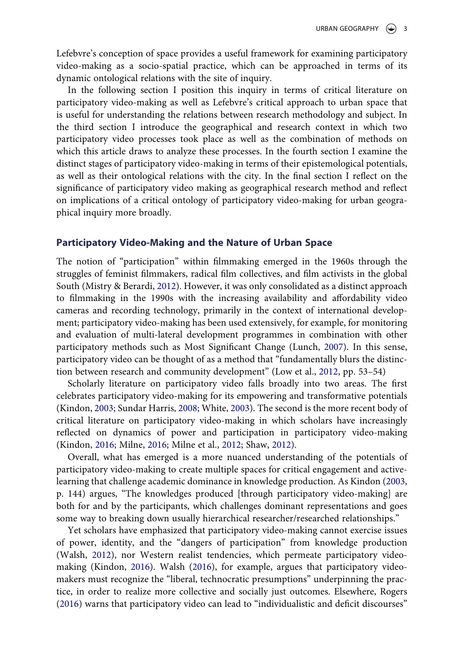Lefebvre's conception of space provides a useful framework for examining participatory video-making as a socio-spatial practice, which can be approached in terms of its dynamic ontological relations with the site of inquiry.

In the following section I position this inquiry in terms of critical literature on participatory video-making as well as Lefebvre's critical approach to urban space that is useful for understanding the relations between research methodology and subject. In the third section I introduce the geographical and research context in which two participatory video processes took place as well as the combination of methods on which this article draws to analyze these processes. In the fourth section I examine the distinct stages of participatory video-making in terms of their epistemological potentials, as well as their ontological relations with the city. In the final section I reflect on the significance of participatory video making as geographical research method and reflect on implications of a critical ontology of participatory video-making for urban geographical inquiry more broadly.

#### **Participatory Video-Making and the Nature of Urban Space**

The notion of "participation" within filmmaking emerged in the 1960s through the struggles of feminist filmmakers, radical film collectives, and film activists in the global South (Mistry & Berardi, [2012](#page-22-1)). However, it was only consolidated as a distinct approach to filmmaking in the 1990s with the increasing availability and affordability video cameras and recording technology, primarily in the context of international development; participatory video-making has been used extensively, for example, for monitoring and evaluation of multi-lateral development programmes in combination with other participatory methods such as Most Significant Change (Lunch, [2007\)](#page-21-12). In this sense, participatory video can be thought of as a method that "fundamentally blurs the distinction between research and community development" (Low et al., [2012](#page-21-13), pp. 53–54)

<span id="page-4-6"></span><span id="page-4-3"></span><span id="page-4-2"></span>Scholarly literature on participatory video falls broadly into two areas. The first celebrates participatory video-making for its empowering and transformative potentials (Kindon, [2003;](#page-21-14) Sundar Harris, [2008;](#page-22-6) White, [2003](#page-22-7)). The second is the more recent body of critical literature on participatory video-making in which scholars have increasingly reflected on dynamics of power and participation in participatory video-making (Kindon, [2016](#page-21-15); Milne, [2016](#page-22-8); Milne et al., [2012](#page-22-9); Shaw, [2012\)](#page-22-10).

<span id="page-4-4"></span><span id="page-4-0"></span>Overall, what has emerged is a more nuanced understanding of the potentials of participatory video-making to create multiple spaces for critical engagement and activelearning that challenge academic dominance in knowledge production. As Kindon ([2003,](#page-21-14) p. 144) argues, "The knowledges produced [through participatory video-making] are both for and by the participants, which challenges dominant representations and goes some way to breaking down usually hierarchical researcher/researched relationships."

<span id="page-4-7"></span><span id="page-4-5"></span><span id="page-4-1"></span>Yet scholars have emphasized that participatory video-making cannot exercise issues of power, identity, and the "dangers of participation" from knowledge production (Walsh, [2012](#page-22-11)), nor Western realist tendencies, which permeate participatory videomaking (Kindon, [2016](#page-21-15)). Walsh ([2016\)](#page-22-12), for example, argues that participatory videomakers must recognize the "liberal, technocratic presumptions" underpinning the practice, in order to realize more collective and socially just outcomes. Elsewhere, Rogers ([2016\)](#page-22-13) warns that participatory video can lead to "individualistic and deficit discourses"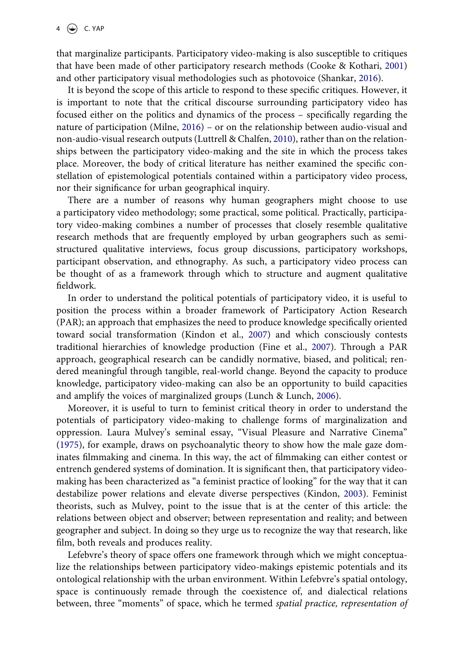<span id="page-5-0"></span>that marginalize participants. Participatory video-making is also susceptible to critiques that have been made of other participatory research methods (Cooke & Kothari, [2001\)](#page-20-5) and other participatory visual methodologies such as photovoice (Shankar, [2016\)](#page-22-14).

<span id="page-5-6"></span><span id="page-5-4"></span>It is beyond the scope of this article to respond to these specific critiques. However, it is important to note that the critical discourse surrounding participatory video has focused either on the politics and dynamics of the process – specifically regarding the nature of participation (Milne, [2016\)](#page-22-8) – or on the relationship between audio-visual and non-audio-visual research outputs (Luttrell & Chalfen, [2010\)](#page-21-16), rather than on the relationships between the participatory video-making and the site in which the process takes place. Moreover, the body of critical literature has neither examined the specific constellation of epistemological potentials contained within a participatory video process, nor their significance for urban geographical inquiry.

There are a number of reasons why human geographers might choose to use a participatory video methodology; some practical, some political. Practically, participatory video-making combines a number of processes that closely resemble qualitative research methods that are frequently employed by urban geographers such as semistructured qualitative interviews, focus group discussions, participatory workshops, participant observation, and ethnography. As such, a participatory video process can be thought of as a framework through which to structure and augment qualitative fieldwork.

<span id="page-5-2"></span><span id="page-5-1"></span>In order to understand the political potentials of participatory video, it is useful to position the process within a broader framework of Participatory Action Research (PAR); an approach that emphasizes the need to produce knowledge specifically oriented toward social transformation (Kindon et al., [2007](#page-21-17)) and which consciously contests traditional hierarchies of knowledge production (Fine et al., [2007](#page-21-18)). Through a PAR approach, geographical research can be candidly normative, biased, and political; rendered meaningful through tangible, real-world change. Beyond the capacity to produce knowledge, participatory video-making can also be an opportunity to build capacities and amplify the voices of marginalized groups (Lunch & Lunch, [2006\)](#page-21-19).

<span id="page-5-5"></span><span id="page-5-3"></span>Moreover, it is useful to turn to feminist critical theory in order to understand the potentials of participatory video-making to challenge forms of marginalization and oppression. Laura Mulvey's seminal essay, "Visual Pleasure and Narrative Cinema" ([1975\)](#page-22-15), for example, draws on psychoanalytic theory to show how the male gaze dominates filmmaking and cinema. In this way, the act of filmmaking can either contest or entrench gendered systems of domination. It is significant then, that participatory videomaking has been characterized as "a feminist practice of looking" for the way that it can destabilize power relations and elevate diverse perspectives (Kindon, [2003\)](#page-21-14). Feminist theorists, such as Mulvey, point to the issue that is at the center of this article: the relations between object and observer; between representation and reality; and between geographer and subject. In doing so they urge us to recognize the way that research, like film, both reveals and produces reality.

Lefebvre's theory of space offers one framework through which we might conceptualize the relationships between participatory video-makings epistemic potentials and its ontological relationship with the urban environment. Within Lefebvre's spatial ontology, space is continuously remade through the coexistence of, and dialectical relations between, three "moments" of space, which he termed *spatial practice, representation of*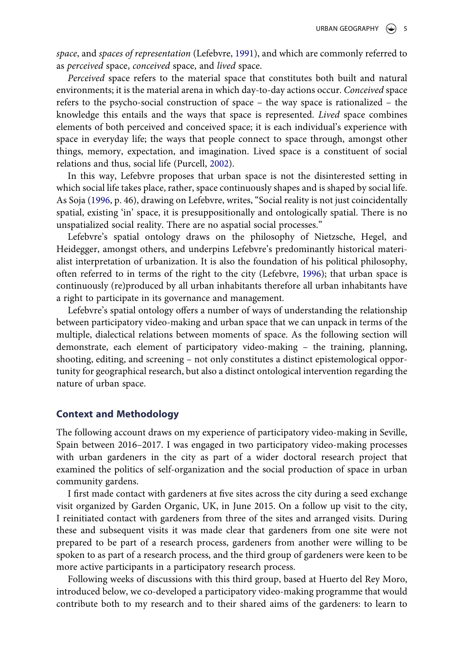<span id="page-6-0"></span>*space*, and *spaces of representation* (Lefebvre, [1991](#page-21-20)), and which are commonly referred to as *perceived* space, *conceived* space, and *lived* space.

*Perceived* space refers to the material space that constitutes both built and natural environments; it is the material arena in which day-to-day actions occur. *Conceived* space refers to the psycho-social construction of space – the way space is rationalized – the knowledge this entails and the ways that space is represented. *Lived* space combines elements of both perceived and conceived space; it is each individual's experience with space in everyday life; the ways that people connect to space through, amongst other things, memory, expectation, and imagination. Lived space is a constituent of social relations and thus, social life (Purcell, [2002](#page-22-16)).

<span id="page-6-3"></span><span id="page-6-2"></span>In this way, Lefebvre proposes that urban space is not the disinterested setting in which social life takes place, rather, space continuously shapes and is shaped by social life. As Soja ([1996,](#page-22-17) p. 46), drawing on Lefebvre, writes, "Social reality is not just coincidentally spatial, existing 'in' space, it is presuppositionally and ontologically spatial. There is no unspatialized social reality. There are no aspatial social processes."

<span id="page-6-1"></span>Lefebvre's spatial ontology draws on the philosophy of Nietzsche, Hegel, and Heidegger, amongst others, and underpins Lefebvre's predominantly historical materialist interpretation of urbanization. It is also the foundation of his political philosophy, often referred to in terms of the right to the city (Lefebvre, [1996](#page-21-21)); that urban space is continuously (re)produced by all urban inhabitants therefore all urban inhabitants have a right to participate in its governance and management.

Lefebvre's spatial ontology offers a number of ways of understanding the relationship between participatory video-making and urban space that we can unpack in terms of the multiple, dialectical relations between moments of space. As the following section will demonstrate, each element of participatory video-making – the training, planning, shooting, editing, and screening – not only constitutes a distinct epistemological opportunity for geographical research, but also a distinct ontological intervention regarding the nature of urban space.

### **Context and Methodology**

The following account draws on my experience of participatory video-making in Seville, Spain between 2016–2017. I was engaged in two participatory video-making processes with urban gardeners in the city as part of a wider doctoral research project that examined the politics of self-organization and the social production of space in urban community gardens.

I first made contact with gardeners at five sites across the city during a seed exchange visit organized by Garden Organic, UK, in June 2015. On a follow up visit to the city, I reinitiated contact with gardeners from three of the sites and arranged visits. During these and subsequent visits it was made clear that gardeners from one site were not prepared to be part of a research process, gardeners from another were willing to be spoken to as part of a research process, and the third group of gardeners were keen to be more active participants in a participatory research process.

Following weeks of discussions with this third group, based at Huerto del Rey Moro, introduced below, we co-developed a participatory video-making programme that would contribute both to my research and to their shared aims of the gardeners: to learn to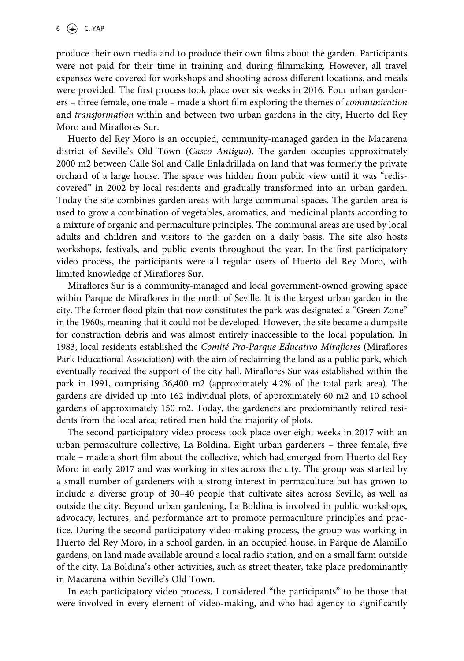produce their own media and to produce their own films about the garden. Participants were not paid for their time in training and during filmmaking. However, all travel expenses were covered for workshops and shooting across different locations, and meals were provided. The first process took place over six weeks in 2016. Four urban gardeners – three female, one male – made a short film exploring the themes of *communication*  and *transformation* within and between two urban gardens in the city, Huerto del Rey Moro and Miraflores Sur.

Huerto del Rey Moro is an occupied, community-managed garden in the Macarena district of Seville's Old Town (*Casco Antiguo*). The garden occupies approximately 2000 m2 between Calle Sol and Calle Enladrillada on land that was formerly the private orchard of a large house. The space was hidden from public view until it was "rediscovered" in 2002 by local residents and gradually transformed into an urban garden. Today the site combines garden areas with large communal spaces. The garden area is used to grow a combination of vegetables, aromatics, and medicinal plants according to a mixture of organic and permaculture principles. The communal areas are used by local adults and children and visitors to the garden on a daily basis. The site also hosts workshops, festivals, and public events throughout the year. In the first participatory video process, the participants were all regular users of Huerto del Rey Moro, with limited knowledge of Miraflores Sur.

Miraflores Sur is a community-managed and local government-owned growing space within Parque de Miraflores in the north of Seville. It is the largest urban garden in the city. The former flood plain that now constitutes the park was designated a "Green Zone" in the 1960s, meaning that it could not be developed. However, the site became a dumpsite for construction debris and was almost entirely inaccessible to the local population. In 1983, local residents established the *Comité Pro-Parque Educativo Miraflores* (Miraflores Park Educational Association) with the aim of reclaiming the land as a public park, which eventually received the support of the city hall. Miraflores Sur was established within the park in 1991, comprising 36,400 m2 (approximately 4.2% of the total park area). The gardens are divided up into 162 individual plots, of approximately 60 m2 and 10 school gardens of approximately 150 m2. Today, the gardeners are predominantly retired residents from the local area; retired men hold the majority of plots.

The second participatory video process took place over eight weeks in 2017 with an urban permaculture collective, La Boldina. Eight urban gardeners – three female, five male – made a short film about the collective, which had emerged from Huerto del Rey Moro in early 2017 and was working in sites across the city. The group was started by a small number of gardeners with a strong interest in permaculture but has grown to include a diverse group of 30–40 people that cultivate sites across Seville, as well as outside the city. Beyond urban gardening, La Boldina is involved in public workshops, advocacy, lectures, and performance art to promote permaculture principles and practice. During the second participatory video-making process, the group was working in Huerto del Rey Moro, in a school garden, in an occupied house, in Parque de Alamillo gardens, on land made available around a local radio station, and on a small farm outside of the city. La Boldina's other activities, such as street theater, take place predominantly in Macarena within Seville's Old Town.

In each participatory video process, I considered "the participants" to be those that were involved in every element of video-making, and who had agency to significantly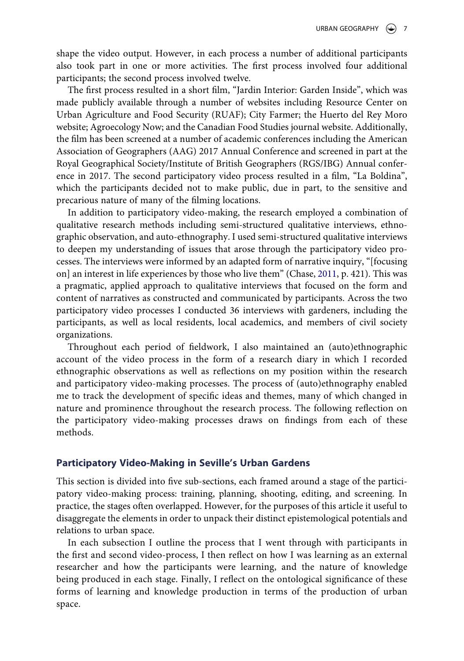shape the video output. However, in each process a number of additional participants also took part in one or more activities. The first process involved four additional participants; the second process involved twelve.

The first process resulted in a short film, "Jardin Interior: Garden Inside", which was made publicly available through a number of websites including Resource Center on Urban Agriculture and Food Security (RUAF); City Farmer; the Huerto del Rey Moro website; Agroecology Now; and the Canadian Food Studies journal website. Additionally, the film has been screened at a number of academic conferences including the American Association of Geographers (AAG) 2017 Annual Conference and screened in part at the Royal Geographical Society/Institute of British Geographers (RGS/IBG) Annual conference in 2017. The second participatory video process resulted in a film, "La Boldina", which the participants decided not to make public, due in part, to the sensitive and precarious nature of many of the filming locations.

<span id="page-8-0"></span>In addition to participatory video-making, the research employed a combination of qualitative research methods including semi-structured qualitative interviews, ethnographic observation, and auto-ethnography. I used semi-structured qualitative interviews to deepen my understanding of issues that arose through the participatory video processes. The interviews were informed by an adapted form of narrative inquiry, "[focusing on] an interest in life experiences by those who live them" (Chase, [2011](#page-20-6), p. 421). This was a pragmatic, applied approach to qualitative interviews that focused on the form and content of narratives as constructed and communicated by participants. Across the two participatory video processes I conducted 36 interviews with gardeners, including the participants, as well as local residents, local academics, and members of civil society organizations.

Throughout each period of fieldwork, I also maintained an (auto)ethnographic account of the video process in the form of a research diary in which I recorded ethnographic observations as well as reflections on my position within the research and participatory video-making processes. The process of (auto)ethnography enabled me to track the development of specific ideas and themes, many of which changed in nature and prominence throughout the research process. The following reflection on the participatory video-making processes draws on findings from each of these methods.

#### **Participatory Video-Making in Seville's Urban Gardens**

This section is divided into five sub-sections, each framed around a stage of the participatory video-making process: training, planning, shooting, editing, and screening. In practice, the stages often overlapped. However, for the purposes of this article it useful to disaggregate the elements in order to unpack their distinct epistemological potentials and relations to urban space.

In each subsection I outline the process that I went through with participants in the first and second video-process, I then reflect on how I was learning as an external researcher and how the participants were learning, and the nature of knowledge being produced in each stage. Finally, I reflect on the ontological significance of these forms of learning and knowledge production in terms of the production of urban space.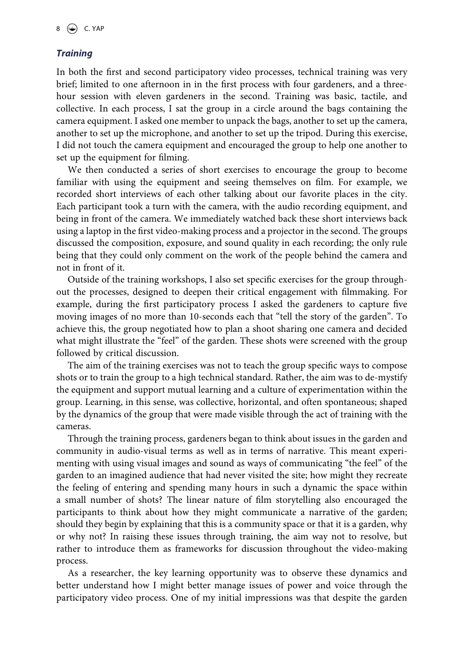### *Training*

In both the first and second participatory video processes, technical training was very brief; limited to one afternoon in in the first process with four gardeners, and a threehour session with eleven gardeners in the second. Training was basic, tactile, and collective. In each process, I sat the group in a circle around the bags containing the camera equipment. I asked one member to unpack the bags, another to set up the camera, another to set up the microphone, and another to set up the tripod. During this exercise, I did not touch the camera equipment and encouraged the group to help one another to set up the equipment for filming.

We then conducted a series of short exercises to encourage the group to become familiar with using the equipment and seeing themselves on film. For example, we recorded short interviews of each other talking about our favorite places in the city. Each participant took a turn with the camera, with the audio recording equipment, and being in front of the camera. We immediately watched back these short interviews back using a laptop in the first video-making process and a projector in the second. The groups discussed the composition, exposure, and sound quality in each recording; the only rule being that they could only comment on the work of the people behind the camera and not in front of it.

Outside of the training workshops, I also set specific exercises for the group throughout the processes, designed to deepen their critical engagement with filmmaking. For example, during the first participatory process I asked the gardeners to capture five moving images of no more than 10-seconds each that "tell the story of the garden". To achieve this, the group negotiated how to plan a shoot sharing one camera and decided what might illustrate the "feel" of the garden. These shots were screened with the group followed by critical discussion.

The aim of the training exercises was not to teach the group specific ways to compose shots or to train the group to a high technical standard. Rather, the aim was to de-mystify the equipment and support mutual learning and a culture of experimentation within the group. Learning, in this sense, was collective, horizontal, and often spontaneous; shaped by the dynamics of the group that were made visible through the act of training with the cameras.

Through the training process, gardeners began to think about issues in the garden and community in audio-visual terms as well as in terms of narrative. This meant experimenting with using visual images and sound as ways of communicating "the feel" of the garden to an imagined audience that had never visited the site; how might they recreate the feeling of entering and spending many hours in such a dynamic the space within a small number of shots? The linear nature of film storytelling also encouraged the participants to think about how they might communicate a narrative of the garden; should they begin by explaining that this is a community space or that it is a garden, why or why not? In raising these issues through training, the aim way not to resolve, but rather to introduce them as frameworks for discussion throughout the video-making process.

As a researcher, the key learning opportunity was to observe these dynamics and better understand how I might better manage issues of power and voice through the participatory video process. One of my initial impressions was that despite the garden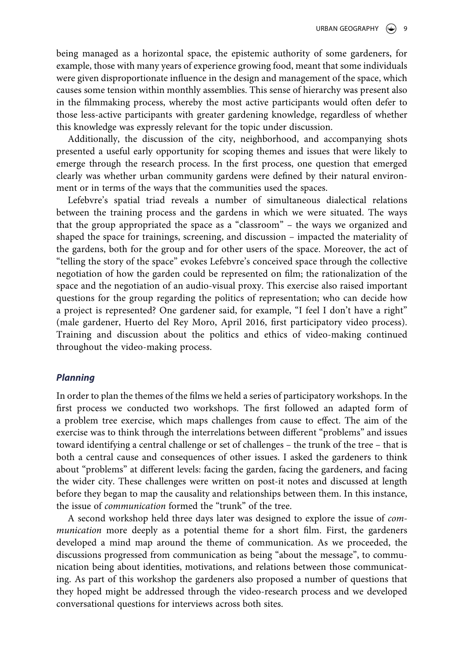being managed as a horizontal space, the epistemic authority of some gardeners, for example, those with many years of experience growing food, meant that some individuals were given disproportionate influence in the design and management of the space, which causes some tension within monthly assemblies. This sense of hierarchy was present also in the filmmaking process, whereby the most active participants would often defer to those less-active participants with greater gardening knowledge, regardless of whether this knowledge was expressly relevant for the topic under discussion.

Additionally, the discussion of the city, neighborhood, and accompanying shots presented a useful early opportunity for scoping themes and issues that were likely to emerge through the research process. In the first process, one question that emerged clearly was whether urban community gardens were defined by their natural environment or in terms of the ways that the communities used the spaces.

Lefebvre's spatial triad reveals a number of simultaneous dialectical relations between the training process and the gardens in which we were situated. The ways that the group appropriated the space as a "classroom" – the ways we organized and shaped the space for trainings, screening, and discussion – impacted the materiality of the gardens, both for the group and for other users of the space. Moreover, the act of "telling the story of the space" evokes Lefebvre's conceived space through the collective negotiation of how the garden could be represented on film; the rationalization of the space and the negotiation of an audio-visual proxy. This exercise also raised important questions for the group regarding the politics of representation; who can decide how a project is represented? One gardener said, for example, "I feel I don't have a right" (male gardener, Huerto del Rey Moro, April 2016, first participatory video process). Training and discussion about the politics and ethics of video-making continued throughout the video-making process.

#### *Planning*

In order to plan the themes of the films we held a series of participatory workshops. In the first process we conducted two workshops. The first followed an adapted form of a problem tree exercise, which maps challenges from cause to effect. The aim of the exercise was to think through the interrelations between different "problems" and issues toward identifying a central challenge or set of challenges – the trunk of the tree – that is both a central cause and consequences of other issues. I asked the gardeners to think about "problems" at different levels: facing the garden, facing the gardeners, and facing the wider city. These challenges were written on post-it notes and discussed at length before they began to map the causality and relationships between them. In this instance, the issue of *communication* formed the "trunk" of the tree.

A second workshop held three days later was designed to explore the issue of *communication* more deeply as a potential theme for a short film. First, the gardeners developed a mind map around the theme of communication. As we proceeded, the discussions progressed from communication as being "about the message", to communication being about identities, motivations, and relations between those communicating. As part of this workshop the gardeners also proposed a number of questions that they hoped might be addressed through the video-research process and we developed conversational questions for interviews across both sites.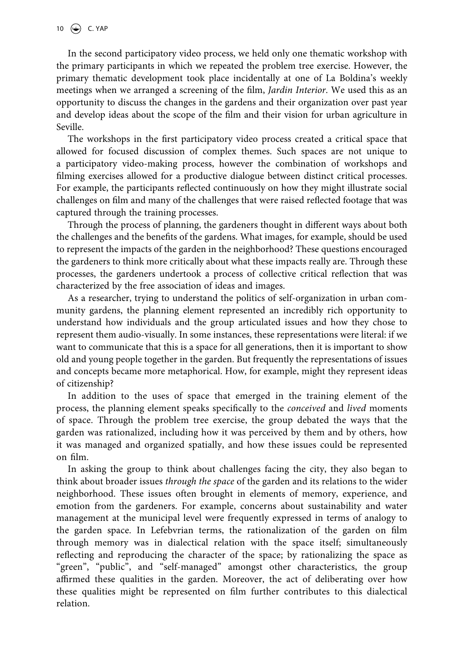In the second participatory video process, we held only one thematic workshop with the primary participants in which we repeated the problem tree exercise. However, the primary thematic development took place incidentally at one of La Boldina's weekly meetings when we arranged a screening of the film, *Jardin Interior*. We used this as an opportunity to discuss the changes in the gardens and their organization over past year and develop ideas about the scope of the film and their vision for urban agriculture in Seville.

The workshops in the first participatory video process created a critical space that allowed for focused discussion of complex themes. Such spaces are not unique to a participatory video-making process, however the combination of workshops and filming exercises allowed for a productive dialogue between distinct critical processes. For example, the participants reflected continuously on how they might illustrate social challenges on film and many of the challenges that were raised reflected footage that was captured through the training processes.

Through the process of planning, the gardeners thought in different ways about both the challenges and the benefits of the gardens. What images, for example, should be used to represent the impacts of the garden in the neighborhood? These questions encouraged the gardeners to think more critically about what these impacts really are. Through these processes, the gardeners undertook a process of collective critical reflection that was characterized by the free association of ideas and images.

As a researcher, trying to understand the politics of self-organization in urban community gardens, the planning element represented an incredibly rich opportunity to understand how individuals and the group articulated issues and how they chose to represent them audio-visually. In some instances, these representations were literal: if we want to communicate that this is a space for all generations, then it is important to show old and young people together in the garden. But frequently the representations of issues and concepts became more metaphorical. How, for example, might they represent ideas of citizenship?

In addition to the uses of space that emerged in the training element of the process, the planning element speaks specifically to the *conceived* and *lived* moments of space. Through the problem tree exercise, the group debated the ways that the garden was rationalized, including how it was perceived by them and by others, how it was managed and organized spatially, and how these issues could be represented on film.

In asking the group to think about challenges facing the city, they also began to think about broader issues *through the space* of the garden and its relations to the wider neighborhood. These issues often brought in elements of memory, experience, and emotion from the gardeners. For example, concerns about sustainability and water management at the municipal level were frequently expressed in terms of analogy to the garden space. In Lefebvrian terms, the rationalization of the garden on film through memory was in dialectical relation with the space itself; simultaneously reflecting and reproducing the character of the space; by rationalizing the space as "green", "public", and "self-managed" amongst other characteristics, the group affirmed these qualities in the garden. Moreover, the act of deliberating over how these qualities might be represented on film further contributes to this dialectical relation.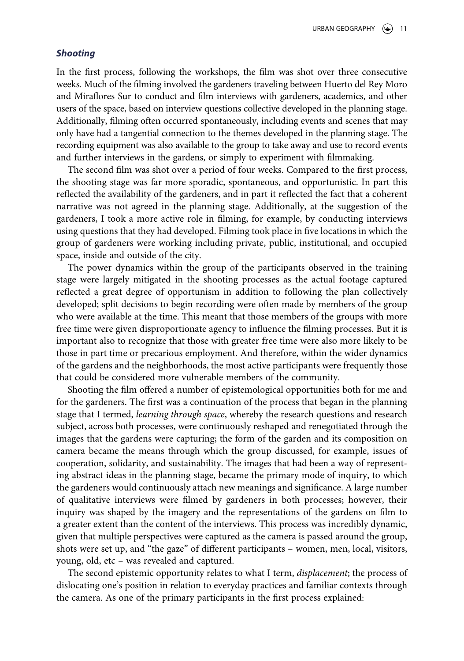#### *Shooting*

In the first process, following the workshops, the film was shot over three consecutive weeks. Much of the filming involved the gardeners traveling between Huerto del Rey Moro and Miraflores Sur to conduct and film interviews with gardeners, academics, and other users of the space, based on interview questions collective developed in the planning stage. Additionally, filming often occurred spontaneously, including events and scenes that may only have had a tangential connection to the themes developed in the planning stage. The recording equipment was also available to the group to take away and use to record events and further interviews in the gardens, or simply to experiment with filmmaking.

The second film was shot over a period of four weeks. Compared to the first process, the shooting stage was far more sporadic, spontaneous, and opportunistic. In part this reflected the availability of the gardeners, and in part it reflected the fact that a coherent narrative was not agreed in the planning stage. Additionally, at the suggestion of the gardeners, I took a more active role in filming, for example, by conducting interviews using questions that they had developed. Filming took place in five locations in which the group of gardeners were working including private, public, institutional, and occupied space, inside and outside of the city.

The power dynamics within the group of the participants observed in the training stage were largely mitigated in the shooting processes as the actual footage captured reflected a great degree of opportunism in addition to following the plan collectively developed; split decisions to begin recording were often made by members of the group who were available at the time. This meant that those members of the groups with more free time were given disproportionate agency to influence the filming processes. But it is important also to recognize that those with greater free time were also more likely to be those in part time or precarious employment. And therefore, within the wider dynamics of the gardens and the neighborhoods, the most active participants were frequently those that could be considered more vulnerable members of the community.

Shooting the film offered a number of epistemological opportunities both for me and for the gardeners. The first was a continuation of the process that began in the planning stage that I termed, *learning through space*, whereby the research questions and research subject, across both processes, were continuously reshaped and renegotiated through the images that the gardens were capturing; the form of the garden and its composition on camera became the means through which the group discussed, for example, issues of cooperation, solidarity, and sustainability. The images that had been a way of representing abstract ideas in the planning stage, became the primary mode of inquiry, to which the gardeners would continuously attach new meanings and significance. A large number of qualitative interviews were filmed by gardeners in both processes; however, their inquiry was shaped by the imagery and the representations of the gardens on film to a greater extent than the content of the interviews. This process was incredibly dynamic, given that multiple perspectives were captured as the camera is passed around the group, shots were set up, and "the gaze" of different participants – women, men, local, visitors, young, old, etc – was revealed and captured.

The second epistemic opportunity relates to what I term, *displacement*; the process of dislocating one's position in relation to everyday practices and familiar contexts through the camera. As one of the primary participants in the first process explained: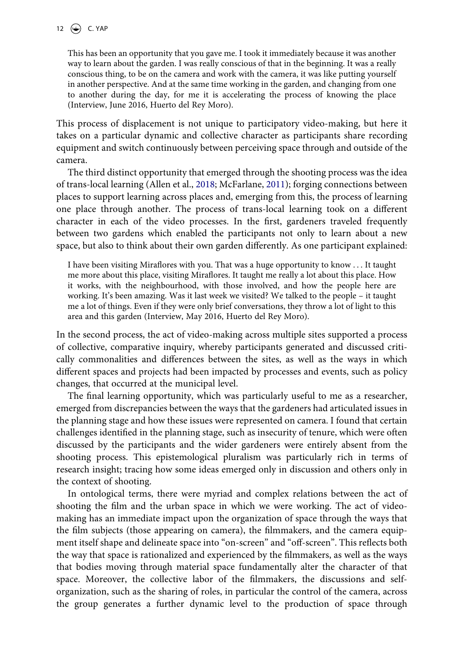This has been an opportunity that you gave me. I took it immediately because it was another way to learn about the garden. I was really conscious of that in the beginning. It was a really conscious thing, to be on the camera and work with the camera, it was like putting yourself in another perspective. And at the same time working in the garden, and changing from one to another during the day, for me it is accelerating the process of knowing the place (Interview, June 2016, Huerto del Rey Moro).

This process of displacement is not unique to participatory video-making, but here it takes on a particular dynamic and collective character as participants share recording equipment and switch continuously between perceiving space through and outside of the camera.

<span id="page-13-0"></span>The third distinct opportunity that emerged through the shooting process was the idea of trans-local learning (Allen et al., [2018](#page-20-7); McFarlane, [2011](#page-22-0)); forging connections between places to support learning across places and, emerging from this, the process of learning one place through another. The process of trans-local learning took on a different character in each of the video processes. In the first, gardeners traveled frequently between two gardens which enabled the participants not only to learn about a new space, but also to think about their own garden differently. As one participant explained:

I have been visiting Miraflores with you. That was a huge opportunity to know . . . It taught me more about this place, visiting Miraflores. It taught me really a lot about this place. How it works, with the neighbourhood, with those involved, and how the people here are working. It's been amazing. Was it last week we visited? We talked to the people – it taught me a lot of things. Even if they were only brief conversations, they throw a lot of light to this area and this garden (Interview, May 2016, Huerto del Rey Moro).

In the second process, the act of video-making across multiple sites supported a process of collective, comparative inquiry, whereby participants generated and discussed critically commonalities and differences between the sites, as well as the ways in which different spaces and projects had been impacted by processes and events, such as policy changes, that occurred at the municipal level.

The final learning opportunity, which was particularly useful to me as a researcher, emerged from discrepancies between the ways that the gardeners had articulated issues in the planning stage and how these issues were represented on camera. I found that certain challenges identified in the planning stage, such as insecurity of tenure, which were often discussed by the participants and the wider gardeners were entirely absent from the shooting process. This epistemological pluralism was particularly rich in terms of research insight; tracing how some ideas emerged only in discussion and others only in the context of shooting.

In ontological terms, there were myriad and complex relations between the act of shooting the film and the urban space in which we were working. The act of videomaking has an immediate impact upon the organization of space through the ways that the film subjects (those appearing on camera), the filmmakers, and the camera equipment itself shape and delineate space into "on-screen" and "off-screen". This reflects both the way that space is rationalized and experienced by the filmmakers, as well as the ways that bodies moving through material space fundamentally alter the character of that space. Moreover, the collective labor of the filmmakers, the discussions and selforganization, such as the sharing of roles, in particular the control of the camera, across the group generates a further dynamic level to the production of space through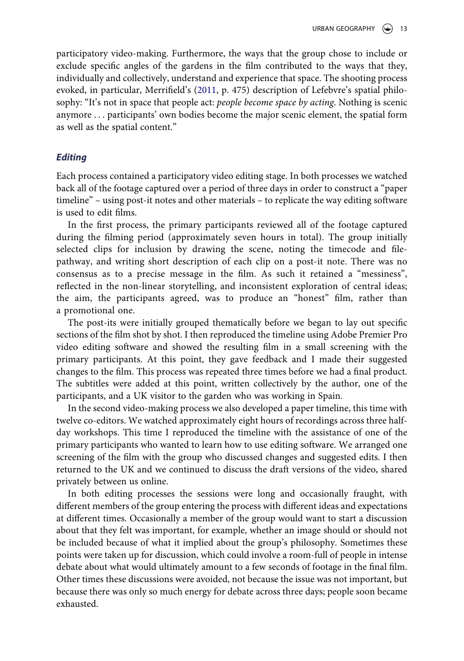<span id="page-14-0"></span>participatory video-making. Furthermore, the ways that the group chose to include or exclude specific angles of the gardens in the film contributed to the ways that they, individually and collectively, understand and experience that space. The shooting process evoked, in particular, Merrifield's ([2011](#page-22-18), p. 475) description of Lefebvre's spatial philosophy: "It's not in space that people act: *people become space by acting*. Nothing is scenic anymore . . . participants' own bodies become the major scenic element, the spatial form as well as the spatial content."

#### *Editing*

Each process contained a participatory video editing stage. In both processes we watched back all of the footage captured over a period of three days in order to construct a "paper timeline" – using post-it notes and other materials – to replicate the way editing software is used to edit films.

In the first process, the primary participants reviewed all of the footage captured during the filming period (approximately seven hours in total). The group initially selected clips for inclusion by drawing the scene, noting the timecode and filepathway, and writing short description of each clip on a post-it note. There was no consensus as to a precise message in the film. As such it retained a "messiness", reflected in the non-linear storytelling, and inconsistent exploration of central ideas; the aim, the participants agreed, was to produce an "honest" film, rather than a promotional one.

The post-its were initially grouped thematically before we began to lay out specific sections of the film shot by shot. I then reproduced the timeline using Adobe Premier Pro video editing software and showed the resulting film in a small screening with the primary participants. At this point, they gave feedback and I made their suggested changes to the film. This process was repeated three times before we had a final product. The subtitles were added at this point, written collectively by the author, one of the participants, and a UK visitor to the garden who was working in Spain.

In the second video-making process we also developed a paper timeline, this time with twelve co-editors. We watched approximately eight hours of recordings across three halfday workshops. This time I reproduced the timeline with the assistance of one of the primary participants who wanted to learn how to use editing software. We arranged one screening of the film with the group who discussed changes and suggested edits. I then returned to the UK and we continued to discuss the draft versions of the video, shared privately between us online.

In both editing processes the sessions were long and occasionally fraught, with different members of the group entering the process with different ideas and expectations at different times. Occasionally a member of the group would want to start a discussion about that they felt was important, for example, whether an image should or should not be included because of what it implied about the group's philosophy. Sometimes these points were taken up for discussion, which could involve a room-full of people in intense debate about what would ultimately amount to a few seconds of footage in the final film. Other times these discussions were avoided, not because the issue was not important, but because there was only so much energy for debate across three days; people soon became exhausted.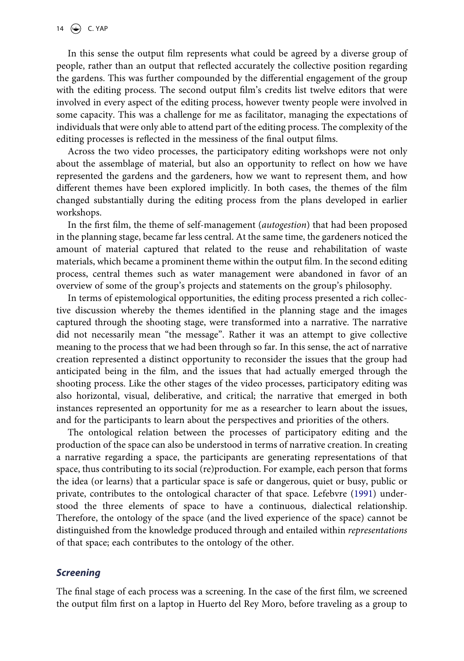In this sense the output film represents what could be agreed by a diverse group of people, rather than an output that reflected accurately the collective position regarding the gardens. This was further compounded by the differential engagement of the group with the editing process. The second output film's credits list twelve editors that were involved in every aspect of the editing process, however twenty people were involved in some capacity. This was a challenge for me as facilitator, managing the expectations of individuals that were only able to attend part of the editing process. The complexity of the editing processes is reflected in the messiness of the final output films.

Across the two video processes, the participatory editing workshops were not only about the assemblage of material, but also an opportunity to reflect on how we have represented the gardens and the gardeners, how we want to represent them, and how different themes have been explored implicitly. In both cases, the themes of the film changed substantially during the editing process from the plans developed in earlier workshops.

In the first film, the theme of self-management (*autogestion*) that had been proposed in the planning stage, became far less central. At the same time, the gardeners noticed the amount of material captured that related to the reuse and rehabilitation of waste materials, which became a prominent theme within the output film. In the second editing process, central themes such as water management were abandoned in favor of an overview of some of the group's projects and statements on the group's philosophy.

In terms of epistemological opportunities, the editing process presented a rich collective discussion whereby the themes identified in the planning stage and the images captured through the shooting stage, were transformed into a narrative. The narrative did not necessarily mean "the message". Rather it was an attempt to give collective meaning to the process that we had been through so far. In this sense, the act of narrative creation represented a distinct opportunity to reconsider the issues that the group had anticipated being in the film, and the issues that had actually emerged through the shooting process. Like the other stages of the video processes, participatory editing was also horizontal, visual, deliberative, and critical; the narrative that emerged in both instances represented an opportunity for me as a researcher to learn about the issues, and for the participants to learn about the perspectives and priorities of the others.

The ontological relation between the processes of participatory editing and the production of the space can also be understood in terms of narrative creation. In creating a narrative regarding a space, the participants are generating representations of that space, thus contributing to its social (re)production. For example, each person that forms the idea (or learns) that a particular space is safe or dangerous, quiet or busy, public or private, contributes to the ontological character of that space. Lefebvre ([1991\)](#page-21-20) understood the three elements of space to have a continuous, dialectical relationship. Therefore, the ontology of the space (and the lived experience of the space) cannot be distinguished from the knowledge produced through and entailed within *representations*  of that space; each contributes to the ontology of the other.

#### *Screening*

The final stage of each process was a screening. In the case of the first film, we screened the output film first on a laptop in Huerto del Rey Moro, before traveling as a group to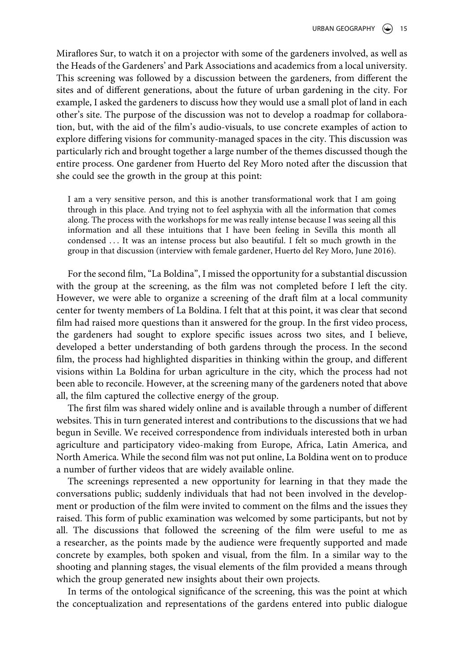Miraflores Sur, to watch it on a projector with some of the gardeners involved, as well as the Heads of the Gardeners' and Park Associations and academics from a local university. This screening was followed by a discussion between the gardeners, from different the sites and of different generations, about the future of urban gardening in the city. For example, I asked the gardeners to discuss how they would use a small plot of land in each other's site. The purpose of the discussion was not to develop a roadmap for collaboration, but, with the aid of the film's audio-visuals, to use concrete examples of action to explore differing visions for community-managed spaces in the city. This discussion was particularly rich and brought together a large number of the themes discussed though the entire process. One gardener from Huerto del Rey Moro noted after the discussion that she could see the growth in the group at this point:

I am a very sensitive person, and this is another transformational work that I am going through in this place. And trying not to feel asphyxia with all the information that comes along. The process with the workshops for me was really intense because I was seeing all this information and all these intuitions that I have been feeling in Sevilla this month all condensed . . . It was an intense process but also beautiful. I felt so much growth in the group in that discussion (interview with female gardener, Huerto del Rey Moro, June 2016).

For the second film, "La Boldina", I missed the opportunity for a substantial discussion with the group at the screening, as the film was not completed before I left the city. However, we were able to organize a screening of the draft film at a local community center for twenty members of La Boldina. I felt that at this point, it was clear that second film had raised more questions than it answered for the group. In the first video process, the gardeners had sought to explore specific issues across two sites, and I believe, developed a better understanding of both gardens through the process. In the second film, the process had highlighted disparities in thinking within the group, and different visions within La Boldina for urban agriculture in the city, which the process had not been able to reconcile. However, at the screening many of the gardeners noted that above all, the film captured the collective energy of the group.

The first film was shared widely online and is available through a number of different websites. This in turn generated interest and contributions to the discussions that we had begun in Seville. We received correspondence from individuals interested both in urban agriculture and participatory video-making from Europe, Africa, Latin America, and North America. While the second film was not put online, La Boldina went on to produce a number of further videos that are widely available online.

The screenings represented a new opportunity for learning in that they made the conversations public; suddenly individuals that had not been involved in the development or production of the film were invited to comment on the films and the issues they raised. This form of public examination was welcomed by some participants, but not by all. The discussions that followed the screening of the film were useful to me as a researcher, as the points made by the audience were frequently supported and made concrete by examples, both spoken and visual, from the film. In a similar way to the shooting and planning stages, the visual elements of the film provided a means through which the group generated new insights about their own projects.

In terms of the ontological significance of the screening, this was the point at which the conceptualization and representations of the gardens entered into public dialogue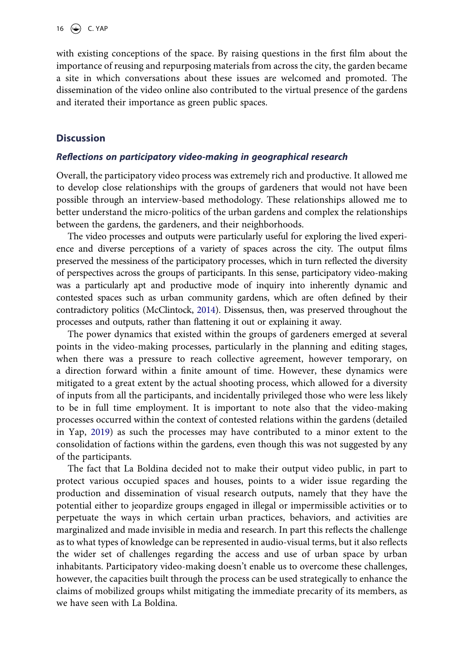with existing conceptions of the space. By raising questions in the first film about the importance of reusing and repurposing materials from across the city, the garden became a site in which conversations about these issues are welcomed and promoted. The dissemination of the video online also contributed to the virtual presence of the gardens and iterated their importance as green public spaces.

#### **Discussion**

#### *Reflections on participatory video-making in geographical research*

Overall, the participatory video process was extremely rich and productive. It allowed me to develop close relationships with the groups of gardeners that would not have been possible through an interview-based methodology. These relationships allowed me to better understand the micro-politics of the urban gardens and complex the relationships between the gardens, the gardeners, and their neighborhoods.

The video processes and outputs were particularly useful for exploring the lived experience and diverse perceptions of a variety of spaces across the city. The output films preserved the messiness of the participatory processes, which in turn reflected the diversity of perspectives across the groups of participants. In this sense, participatory video-making was a particularly apt and productive mode of inquiry into inherently dynamic and contested spaces such as urban community gardens, which are often defined by their contradictory politics (McClintock, [2014](#page-21-22)). Dissensus, then, was preserved throughout the processes and outputs, rather than flattening it out or explaining it away.

<span id="page-17-0"></span>The power dynamics that existed within the groups of gardeners emerged at several points in the video-making processes, particularly in the planning and editing stages, when there was a pressure to reach collective agreement, however temporary, on a direction forward within a finite amount of time. However, these dynamics were mitigated to a great extent by the actual shooting process, which allowed for a diversity of inputs from all the participants, and incidentally privileged those who were less likely to be in full time employment. It is important to note also that the video-making processes occurred within the context of contested relations within the gardens (detailed in Yap, [2019\)](#page-22-19) as such the processes may have contributed to a minor extent to the consolidation of factions within the gardens, even though this was not suggested by any of the participants.

<span id="page-17-1"></span>The fact that La Boldina decided not to make their output video public, in part to protect various occupied spaces and houses, points to a wider issue regarding the production and dissemination of visual research outputs, namely that they have the potential either to jeopardize groups engaged in illegal or impermissible activities or to perpetuate the ways in which certain urban practices, behaviors, and activities are marginalized and made invisible in media and research. In part this reflects the challenge as to what types of knowledge can be represented in audio-visual terms, but it also reflects the wider set of challenges regarding the access and use of urban space by urban inhabitants. Participatory video-making doesn't enable us to overcome these challenges, however, the capacities built through the process can be used strategically to enhance the claims of mobilized groups whilst mitigating the immediate precarity of its members, as we have seen with La Boldina.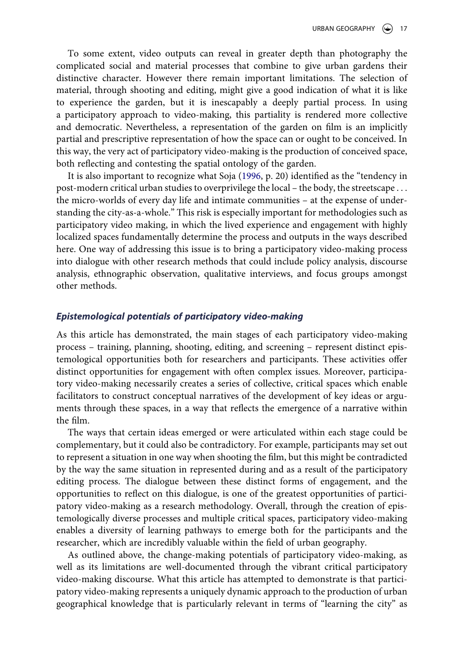To some extent, video outputs can reveal in greater depth than photography the complicated social and material processes that combine to give urban gardens their distinctive character. However there remain important limitations. The selection of material, through shooting and editing, might give a good indication of what it is like to experience the garden, but it is inescapably a deeply partial process. In using a participatory approach to video-making, this partiality is rendered more collective and democratic. Nevertheless, a representation of the garden on film is an implicitly partial and prescriptive representation of how the space can or ought to be conceived. In this way, the very act of participatory video-making is the production of conceived space, both reflecting and contesting the spatial ontology of the garden.

It is also important to recognize what Soja [\(1996](#page-22-17), p. 20) identified as the "tendency in post-modern critical urban studies to overprivilege the local – the body, the streetscape . . . the micro-worlds of every day life and intimate communities – at the expense of understanding the city-as-a-whole." This risk is especially important for methodologies such as participatory video making, in which the lived experience and engagement with highly localized spaces fundamentally determine the process and outputs in the ways described here. One way of addressing this issue is to bring a participatory video-making process into dialogue with other research methods that could include policy analysis, discourse analysis, ethnographic observation, qualitative interviews, and focus groups amongst other methods.

#### *Epistemological potentials of participatory video-making*

As this article has demonstrated, the main stages of each participatory video-making process – training, planning, shooting, editing, and screening – represent distinct epistemological opportunities both for researchers and participants. These activities offer distinct opportunities for engagement with often complex issues. Moreover, participatory video-making necessarily creates a series of collective, critical spaces which enable facilitators to construct conceptual narratives of the development of key ideas or arguments through these spaces, in a way that reflects the emergence of a narrative within the film.

The ways that certain ideas emerged or were articulated within each stage could be complementary, but it could also be contradictory. For example, participants may set out to represent a situation in one way when shooting the film, but this might be contradicted by the way the same situation in represented during and as a result of the participatory editing process. The dialogue between these distinct forms of engagement, and the opportunities to reflect on this dialogue, is one of the greatest opportunities of participatory video-making as a research methodology. Overall, through the creation of epistemologically diverse processes and multiple critical spaces, participatory video-making enables a diversity of learning pathways to emerge both for the participants and the researcher, which are incredibly valuable within the field of urban geography.

As outlined above, the change-making potentials of participatory video-making, as well as its limitations are well-documented through the vibrant critical participatory video-making discourse. What this article has attempted to demonstrate is that participatory video-making represents a uniquely dynamic approach to the production of urban geographical knowledge that is particularly relevant in terms of "learning the city" as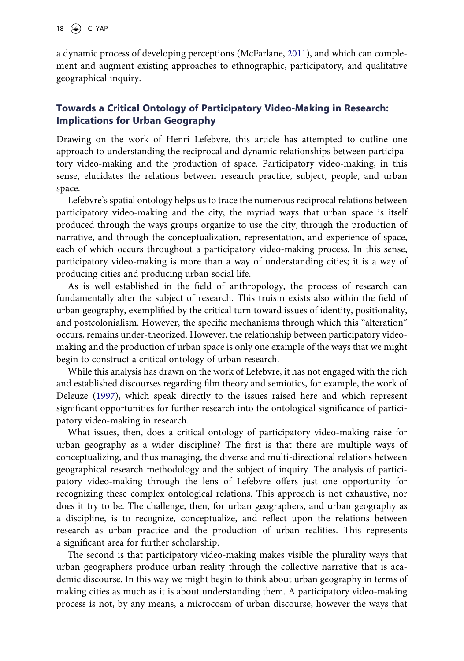a dynamic process of developing perceptions (McFarlane, [2011\)](#page-22-0), and which can complement and augment existing approaches to ethnographic, participatory, and qualitative geographical inquiry.

## **Towards a Critical Ontology of Participatory Video-Making in Research: Implications for Urban Geography**

Drawing on the work of Henri Lefebvre, this article has attempted to outline one approach to understanding the reciprocal and dynamic relationships between participatory video-making and the production of space. Participatory video-making, in this sense, elucidates the relations between research practice, subject, people, and urban space.

Lefebvre's spatial ontology helps us to trace the numerous reciprocal relations between participatory video-making and the city; the myriad ways that urban space is itself produced through the ways groups organize to use the city, through the production of narrative, and through the conceptualization, representation, and experience of space, each of which occurs throughout a participatory video-making process. In this sense, participatory video-making is more than a way of understanding cities; it is a way of producing cities and producing urban social life.

As is well established in the field of anthropology, the process of research can fundamentally alter the subject of research. This truism exists also within the field of urban geography, exemplified by the critical turn toward issues of identity, positionality, and postcolonialism. However, the specific mechanisms through which this "alteration" occurs, remains under-theorized. However, the relationship between participatory videomaking and the production of urban space is only one example of the ways that we might begin to construct a critical ontology of urban research.

<span id="page-19-0"></span>While this analysis has drawn on the work of Lefebvre, it has not engaged with the rich and established discourses regarding film theory and semiotics, for example, the work of Deleuze [\(1997](#page-20-8)), which speak directly to the issues raised here and which represent significant opportunities for further research into the ontological significance of participatory video-making in research.

What issues, then, does a critical ontology of participatory video-making raise for urban geography as a wider discipline? The first is that there are multiple ways of conceptualizing, and thus managing, the diverse and multi-directional relations between geographical research methodology and the subject of inquiry. The analysis of participatory video-making through the lens of Lefebvre offers just one opportunity for recognizing these complex ontological relations. This approach is not exhaustive, nor does it try to be. The challenge, then, for urban geographers, and urban geography as a discipline, is to recognize, conceptualize, and reflect upon the relations between research as urban practice and the production of urban realities. This represents a significant area for further scholarship.

The second is that participatory video-making makes visible the plurality ways that urban geographers produce urban reality through the collective narrative that is academic discourse. In this way we might begin to think about urban geography in terms of making cities as much as it is about understanding them. A participatory video-making process is not, by any means, a microcosm of urban discourse, however the ways that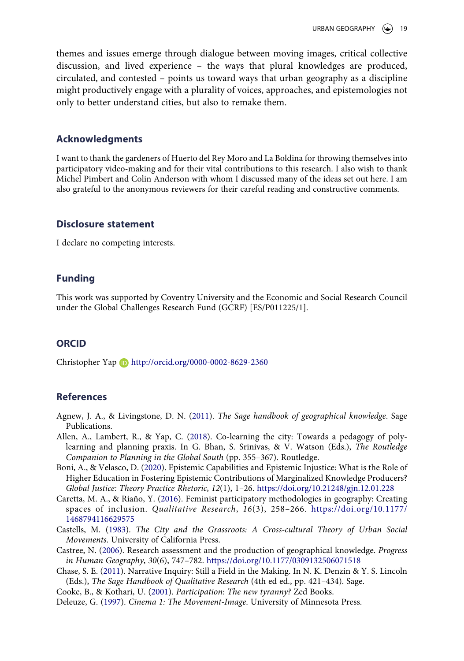themes and issues emerge through dialogue between moving images, critical collective discussion, and lived experience – the ways that plural knowledges are produced, circulated, and contested – points us toward ways that urban geography as a discipline might productively engage with a plurality of voices, approaches, and epistemologies not only to better understand cities, but also to remake them.

#### **Acknowledgments**

I want to thank the gardeners of Huerto del Rey Moro and La Boldina for throwing themselves into participatory video-making and for their vital contributions to this research. I also wish to thank Michel Pimbert and Colin Anderson with whom I discussed many of the ideas set out here. I am also grateful to the anonymous reviewers for their careful reading and constructive comments.

#### **Disclosure statement**

I declare no competing interests.

### **Funding**

This work was supported by Coventry University and the Economic and Social Research Council under the Global Challenges Research Fund (GCRF) [ES/P011225/1].

#### **ORCID**

Christopher Yap http://orcid.org/0000-0002-8629-2360

#### **References**

- <span id="page-20-0"></span>Agnew, J. A., & Livingstone, D. N. [\(2011\)](#page-2-0). *The Sage handbook of geographical knowledge*. Sage Publications.
- <span id="page-20-7"></span>Allen, A., Lambert, R., & Yap, C. [\(2018](#page-13-0)). Co-learning the city: Towards a pedagogy of polylearning and planning praxis. In G. Bhan, S. Srinivas, & V. Watson (Eds.), *The Routledge Companion to Planning in the Global South* (pp. 355–367). Routledge.
- <span id="page-20-3"></span>Boni, A., & Velasco, D. [\(2020\)](#page-3-0). Epistemic Capabilities and Epistemic Injustice: What is the Role of Higher Education in Fostering Epistemic Contributions of Marginalized Knowledge Producers? *Global Justice: Theory Practice Rhetoric*, *12*(1), 1–26. <https://doi.org/10.21248/gjn.12.01.228>
- <span id="page-20-2"></span>Caretta, M. A., & Riaño, Y. [\(2016](#page-2-1)). Feminist participatory methodologies in geography: Creating spaces of inclusion. *Qualitative Research*, *16*(3), 258–266. [https://doi.org/10.1177/](https://doi.org/10.1177/1468794116629575)  [1468794116629575](https://doi.org/10.1177/1468794116629575)
- <span id="page-20-4"></span>Castells, M. ([1983\)](#page-3-1). *The City and the Grassroots: A Cross-cultural Theory of Urban Social Movements*. University of California Press.
- <span id="page-20-1"></span>Castree, N. ([2006\)](#page-2-0). Research assessment and the production of geographical knowledge. *Progress in Human Geography*, *30*(6), 747–782. <https://doi.org/10.1177/0309132506071518>
- <span id="page-20-6"></span>Chase, S. E. ([2011](#page-8-0)). Narrative Inquiry: Still a Field in the Making. In N. K. Denzin & Y. S. Lincoln (Eds.), *The Sage Handbook of Qualitative Research* (4th ed ed., pp. 421–434). Sage.
- <span id="page-20-5"></span>Cooke, B., & Kothari, U. ([2001](#page-5-0)). *Participation: The new tyranny?* Zed Books.
- <span id="page-20-8"></span>Deleuze, G. [\(1997\)](#page-19-0). *Cinema 1: The Movement-Image*. University of Minnesota Press.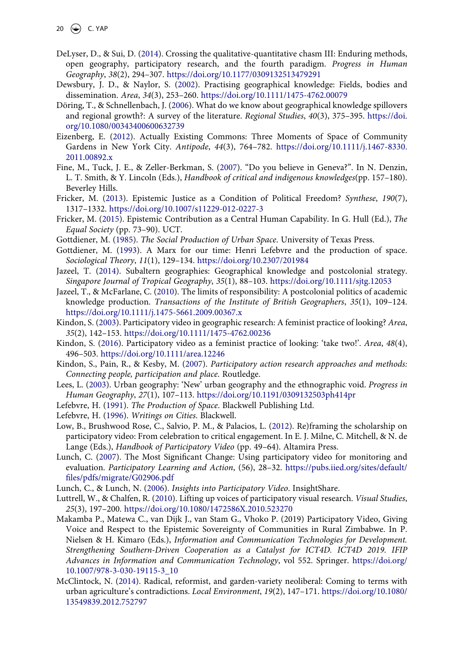- <span id="page-21-4"></span>DeLyser, D., & Sui, D. [\(2014](#page-2-1)). Crossing the qualitative-quantitative chasm III: Enduring methods, open geography, participatory research, and the fourth paradigm. *Progress in Human Geography*, *38*(2), 294–307. <https://doi.org/10.1177/0309132513479291>
- <span id="page-21-0"></span>Dewsbury, J. D., & Naylor, S. [\(2002](#page-2-0)). Practising geographical knowledge: Fields, bodies and dissemination. *Area*, *34*(3), 253–260. <https://doi.org/10.1111/1475-4762.00079>
- <span id="page-21-1"></span>Döring, T., & Schnellenbach, J. [\(2006\)](#page-2-0). What do we know about geographical knowledge spillovers and regional growth?: A survey of the literature. *Regional Studies*, *40*(3), 375–395. [https://doi.](https://doi.org/10.1080/00343400600632739) [org/10.1080/00343400600632739](https://doi.org/10.1080/00343400600632739)
- <span id="page-21-9"></span>Eizenberg, E. [\(2012](#page-3-2)). Actually Existing Commons: Three Moments of Space of Community Gardens in New York City. *Antipode*, *44*(3), 764–782. [https://doi.org/10.1111/j.1467-8330.](https://doi.org/10.1111/j.1467-8330.2011.00892.x) [2011.00892.x](https://doi.org/10.1111/j.1467-8330.2011.00892.x)
- <span id="page-21-18"></span>Fine, M., Tuck, J. E., & Zeller-Berkman, S. ([2007](#page-5-1)). "Do you believe in Geneva?". In N. Denzin, L. T. Smith, & Y. Lincoln (Eds.), *Handbook of critical and indigenous knowledges*(pp. 157–180). Beverley Hills.
- <span id="page-21-7"></span>Fricker, M. [\(2013\)](#page-3-3). Epistemic Justice as a Condition of Political Freedom? *Synthese*, *190*(7), 1317–1332. <https://doi.org/10.1007/s11229-012-0227-3>
- <span id="page-21-8"></span>Fricker, M. ([2015\)](#page-3-3). Epistemic Contribution as a Central Human Capability. In G. Hull (Ed.), *The Equal Society* (pp. 73–90). UCT.
- <span id="page-21-10"></span>Gottdiener, M. [\(1985](#page-3-2)). *The Social Production of Urban Space*. University of Texas Press.
- <span id="page-21-11"></span>Gottdiener, M. [\(1993](#page-3-2)). A Marx for our time: Henri Lefebvre and the production of space. *Sociological Theory*, *11*(1), 129–134. <https://doi.org/10.2307/201984>
- <span id="page-21-2"></span>Jazeel, T. [\(2014](#page-2-2)). Subaltern geographies: Geographical knowledge and postcolonial strategy. *Singapore Journal of Tropical Geography*, *35*(1), 88–103. <https://doi.org/10.1111/sjtg.12053>
- <span id="page-21-3"></span>Jazeel, T., & McFarlane, C. ([2010](#page-2-3)). The limits of responsibility: A postcolonial politics of academic knowledge production. *Transactions of the Institute of British Geographers*, *35*(1), 109–124. <https://doi.org/10.1111/j.1475-5661.2009.00367.x>
- <span id="page-21-14"></span>Kindon, S. [\(2003](#page-4-0)). Participatory video in geographic research: A feminist practice of looking? *Area*, *35*(2), 142–153. <https://doi.org/10.1111/1475-4762.00236>
- <span id="page-21-15"></span>Kindon, S. ([2016\)](#page-4-1). Participatory video as a feminist practice of looking: 'take two!'. *Area*, *48*(4), 496–503. <https://doi.org/10.1111/area.12246>
- <span id="page-21-17"></span>Kindon, S., Pain, R., & Kesby, M. [\(2007](#page-5-2)). *Participatory action research approaches and methods: Connecting people, participation and place*. Routledge.
- <span id="page-21-5"></span>Lees, L. ([2003\)](#page-2-1). Urban geography: 'New' urban geography and the ethnographic void. *Progress in Human Geography*, *27*(1), 107–113. <https://doi.org/10.1191/0309132503ph414pr>
- <span id="page-21-20"></span>Lefebvre, H. ([1991](#page-6-0)). *The Production of Space*. Blackwell Publishing Ltd.
- <span id="page-21-21"></span>Lefebvre, H. ([1996](#page-6-1)). *Writings on Cities*. Blackwell.
- <span id="page-21-13"></span>Low, B., Brushwood Rose, C., Salvio, P. M., & Palacios, L. [\(2012\)](#page-4-2). Re)framing the scholarship on participatory video: From celebration to critical engagement. In E. J. Milne, C. Mitchell, & N. de Lange (Eds.), *Handbook of Participatory Video* (pp. 49–64). Altamira Press.
- <span id="page-21-12"></span>Lunch, C. [\(2007\)](#page-4-3). The Most Significant Change: Using participatory video for monitoring and evaluation. *Participatory Learning and Action*, (56), 28–32. [https://pubs.iied.org/sites/default/](https://pubs.iied.org/sites/default/files/pdfs/migrate/G02906.pdf) [files/pdfs/migrate/G02906.pdf](https://pubs.iied.org/sites/default/files/pdfs/migrate/G02906.pdf)
- <span id="page-21-19"></span>Lunch, C., & Lunch, N. [\(2006\)](#page-5-3). *Insights into Participatory Video*. InsightShare.
- <span id="page-21-16"></span>Luttrell, W., & Chalfen, R. ([2010](#page-5-4)). Lifting up voices of participatory visual research. *Visual Studies*, *25*(3), 197–200. <https://doi.org/10.1080/1472586X.2010.523270>
- <span id="page-21-6"></span>Makamba P., Matewa C., van Dijk J., van Stam G., Vhoko P. (2019) Participatory Video, Giving Voice and Respect to the Epistemic Sovereignty of Communities in Rural Zimbabwe. In P. Nielsen & H. Kimaro (Eds.), *Information and Communication Technologies for Development. Strengthening Southern-Driven Cooperation as a Catalyst for ICT4D. ICT4D 2019. IFIP Advances in Information and Communication Technology*, vol 552. Springer. [https://doi.org/](https://doi.org/10.1007/978-3-030-19115-3_10) [10.1007/978-3-030-19115-3\\_10](https://doi.org/10.1007/978-3-030-19115-3_10)
- <span id="page-21-22"></span>McClintock, N. [\(2014](#page-17-0)). Radical, reformist, and garden-variety neoliberal: Coming to terms with urban agriculture's contradictions. *Local Environment*, *19*(2), 147–171. [https://doi.org/10.1080/](https://doi.org/10.1080/13549839.2012.752797) [13549839.2012.752797](https://doi.org/10.1080/13549839.2012.752797)